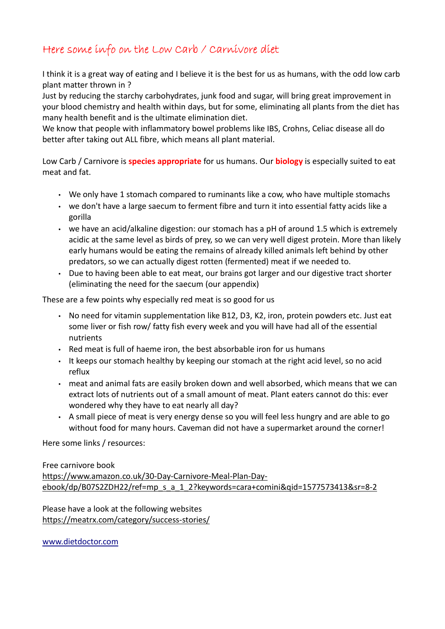## Here some info on the Low Carb / Carnivore diet

I think it is a great way of eating and I believe it is the best for us as humans, with the odd low carb plant matter thrown in ?

Just by reducing the starchy carbohydrates, junk food and sugar, will bring great improvement in your blood chemistry and health within days, but for some, eliminating all plants from the diet has many health benefit and is the ultimate elimination diet.

We know that people with inflammatory bowel problems like IBS, Crohns, Celiac disease all do better after taking out ALL fibre, which means all plant material.

Low Carb / Carnivore is **species appropriate** for us humans. Our **biology** is especially suited to eat meat and fat.

- We only have 1 stomach compared to ruminants like a cow, who have multiple stomachs
- we don't have a large saecum to ferment fibre and turn it into essential fatty acids like a gorilla
- we have an acid/alkaline digestion: our stomach has a pH of around 1.5 which is extremely acidic at the same level as birds of prey, so we can very well digest protein. More than likely early humans would be eating the remains of already killed animals left behind by other predators, so we can actually digest rotten (fermented) meat if we needed to.
- Due to having been able to eat meat, our brains got larger and our digestive tract shorter (eliminating the need for the saecum (our appendix)

These are a few points why especially red meat is so good for us

- No need for vitamin supplementation like B12, D3, K2, iron, protein powders etc. Just eat some liver or fish row/ fatty fish every week and you will have had all of the essential nutrients
- Red meat is full of haeme iron, the best absorbable iron for us humans
- It keeps our stomach healthy by keeping our stomach at the right acid level, so no acid reflux
- meat and animal fats are easily broken down and well absorbed, which means that we can extract lots of nutrients out of a small amount of meat. Plant eaters cannot do this: ever wondered why they have to eat nearly all day?
- A small piece of meat is very energy dense so you will feel less hungry and are able to go without food for many hours. Caveman did not have a supermarket around the corner!

Here some links / resources:

### Free carnivore book

https://www.amazon.co.uk/30-Day-Carnivore-Meal-Plan-Dayebook/dp/B07S2ZDH22/ref=mp\_s\_a\_1\_2?keywords=cara+comini&qid=1577573413&sr=8-2

Please have a look at the following websites https://meatrx.com/category/success-stories/

www.dietdoctor.com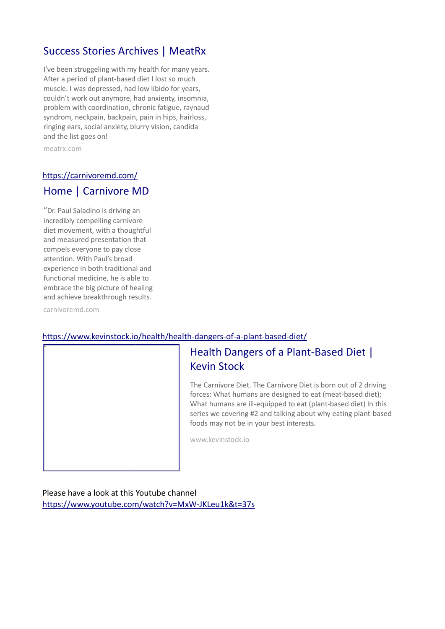## Success Stories Archives | MeatRx

I've been struggeling with my health for many years. After a period of plant-based diet I lost so much muscle. I was depressed, had low libido for years, couldn't work out anymore, had anxienty, insomnia, problem with coordination, chronic fatigue, raynaud syndrom, neckpain, backpain, pain in hips, hairloss, ringing ears, social anxiety, blurry vision, candida and the list goes on!

meatrx.com

### https://carnivoremd.com/

### Home | Carnivore MD

"Dr. Paul Saladino is driving an incredibly compelling carnivore diet movement, with a thoughtful and measured presentation that compels everyone to pay close attention. With Paul's broad experience in both traditional and functional medicine, he is able to embrace the big picture of healing and achieve breakthrough results.

carnivoremd.com

### https://www.kevinstock.io/health/health-dangers-of-a-plant-based-diet/

## Health Dangers of a Plant-Based Diet | Kevin Stock

The Carnivore Diet. The Carnivore Diet is born out of 2 driving forces: What humans are designed to eat (meat-based diet); What humans are ill-equipped to eat (plant-based diet) In this series we covering #2 and talking about why eating plant-based foods may not be in your best interests.

www.kevinstock.io

Please have a look at this Youtube channel https://www.youtube.com/watch?v=MxW-JKLeu1k&t=37s